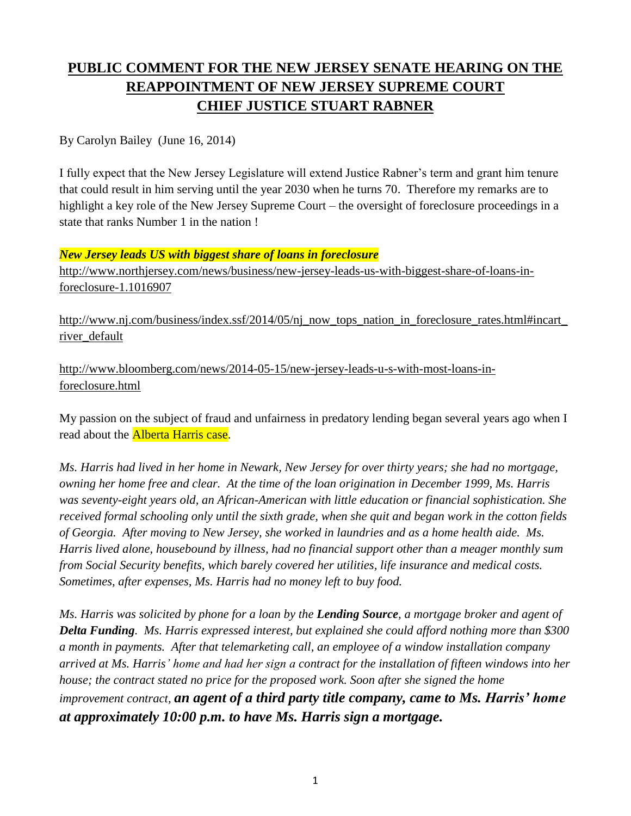## **PUBLIC COMMENT FOR THE NEW JERSEY SENATE HEARING ON THE REAPPOINTMENT OF NEW JERSEY SUPREME COURT CHIEF JUSTICE STUART RABNER**

By Carolyn Bailey (June 16, 2014)

I fully expect that the New Jersey Legislature will extend Justice Rabner's term and grant him tenure that could result in him serving until the year 2030 when he turns 70. Therefore my remarks are to highlight a key role of the New Jersey Supreme Court – the oversight of foreclosure proceedings in a state that ranks Number 1 in the nation !

*New Jersey leads US with biggest share of loans in foreclosure*

[http://www.northjersey.com/news/business/new-jersey-leads-us-with-biggest-share-of-loans-in](http://www.northjersey.com/news/business/new-jersey-leads-us-with-biggest-share-of-loans-in-foreclosure-1.1016907)[foreclosure-1.1016907](http://www.northjersey.com/news/business/new-jersey-leads-us-with-biggest-share-of-loans-in-foreclosure-1.1016907)

http://www.nj.com/business/index.ssf/2014/05/nj\_now\_tops\_nation\_in\_foreclosure\_rates.html#incart [river\\_default](http://www.nj.com/business/index.ssf/2014/05/nj_now_tops_nation_in_foreclosure_rates.html#incart_river_default)

[http://www.bloomberg.com/news/2014-05-15/new-jersey-leads-u-s-with-most-loans-in](http://www.bloomberg.com/news/2014-05-15/new-jersey-leads-u-s-with-most-loans-in-foreclosure.html)[foreclosure.html](http://www.bloomberg.com/news/2014-05-15/new-jersey-leads-u-s-with-most-loans-in-foreclosure.html)

My passion on the subject of fraud and unfairness in predatory lending began several years ago when I read about the **Alberta Harris case**.

*Ms. Harris had lived in her home in Newark, New Jersey for over thirty years; she had no mortgage, owning her home free and clear. At the time of the loan origination in December 1999, Ms. Harris was seventy-eight years old, an African-American with little education or financial sophistication. She received formal schooling only until the sixth grade, when she quit and began work in the cotton fields of Georgia. After moving to New Jersey, she worked in laundries and as a home health aide. Ms. Harris lived alone, housebound by illness, had no financial support other than a meager monthly sum from Social Security benefits, which barely covered her utilities, life insurance and medical costs. Sometimes, after expenses, Ms. Harris had no money left to buy food.*

*Ms. Harris was solicited by phone for a loan by the Lending Source, a mortgage broker and agent of Delta Funding. Ms. Harris expressed interest, but explained she could afford nothing more than \$300 a month in payments. After that telemarketing call, an employee of a window installation company arrived at Ms. Harris' home and had her sign a contract for the installation of fifteen windows into her house; the contract stated no price for the proposed work. Soon after she signed the home improvement contract, an agent of a third party title company, came to Ms. Harris' home at approximately 10:00 p.m. to have Ms. Harris sign a mortgage.*